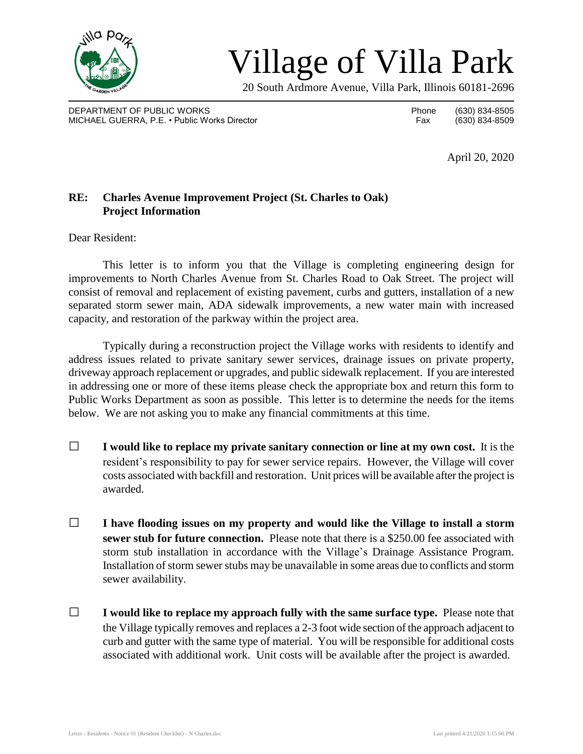

## Village of Villa Park

20 South Ardmore Avenue, Villa Park, Illinois 60181-2696

DEPARTMENT OF PUBLIC WORKS **Phone** (630) 834-8505 MICHAEL GUERRA, P.E. • Public Works Director Fax (630) 834-8509

April 20, 2020

## **RE: Charles Avenue Improvement Project (St. Charles to Oak) Project Information**

Dear Resident:

This letter is to inform you that the Village is completing engineering design for improvements to North Charles Avenue from St. Charles Road to Oak Street. The project will consist of removal and replacement of existing pavement, curbs and gutters, installation of a new separated storm sewer main, ADA sidewalk improvements, a new water main with increased capacity, and restoration of the parkway within the project area.

Typically during a reconstruction project the Village works with residents to identify and address issues related to private sanitary sewer services, drainage issues on private property, driveway approach replacement or upgrades, and public sidewalk replacement. If you are interested in addressing one or more of these items please check the appropriate box and return this form to Public Works Department as soon as possible. This letter is to determine the needs for the items below. We are not asking you to make any financial commitments at this time.

- □ **I would like to replace my private sanitary connection or line at my own cost.** It is the resident's responsibility to pay for sewer service repairs. However, the Village will cover costs associated with backfill and restoration. Unit prices will be available after the project is awarded.
- □ **I have flooding issues on my property and would like the Village to install <sup>a</sup> storm sewer stub for future connection.** Please note that there is a \$250.00 fee associated with storm stub installation in accordance with the Village's Drainage Assistance Program. Installation of storm sewer stubs may be unavailable in some areas due to conflicts and storm sewer availability.
- □ **I would like to replace my approach fully with the same surface type.** Please note that the Village typically removes and replaces a 2-3 foot wide section of the approach adjacent to curb and gutter with the same type of material. You will be responsible for additional costs associated with additional work. Unit costs will be available after the project is awarded.